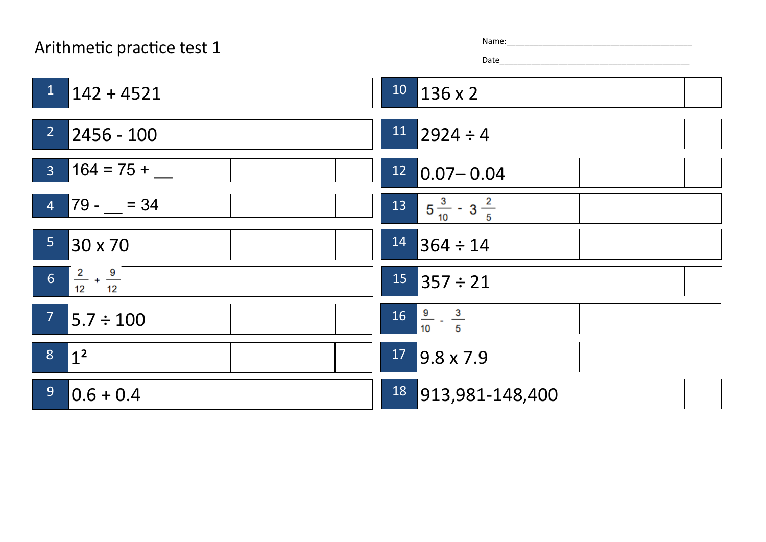## Arithmetic practice test 1

| ٦e: |  |  |  |  |  |
|-----|--|--|--|--|--|
|     |  |  |  |  |  |

Date\_\_\_\_\_\_\_\_\_\_\_\_\_\_\_\_\_\_\_\_\_\_\_\_\_\_\_\_\_\_\_\_\_\_\_\_\_\_\_\_\_\_

| $1 \quad 142 + 4521$             | $10$ 136 x 2                            |
|----------------------------------|-----------------------------------------|
| 2 <sup>7</sup><br>$ 2456 - 100$  | $11$ 2924 ÷ 4                           |
| $3 \t164 = 75 +$                 | $12$ 0.07 - 0.04                        |
| $4$ 79 - $=$ 34                  | $13\qquad 5\frac{3}{10} - 3\frac{2}{5}$ |
| 5 <sub>1</sub><br>30 x 70        | $14$ 364 ÷ 14                           |
| 6 $\frac{2}{12} + \frac{9}{12}$  | $15$ 357 ÷ 21                           |
| 7 <sup>7</sup><br>$5.7 \div 100$ | $16 \frac{9}{10} - \frac{3}{5}$         |
| $8 \overline{)1^2}$              | $17$ 9.8 x 7.9                          |
| 9 <sup>°</sup><br>$ 0.6 + 0.4 $  | 18 913,981-148,400                      |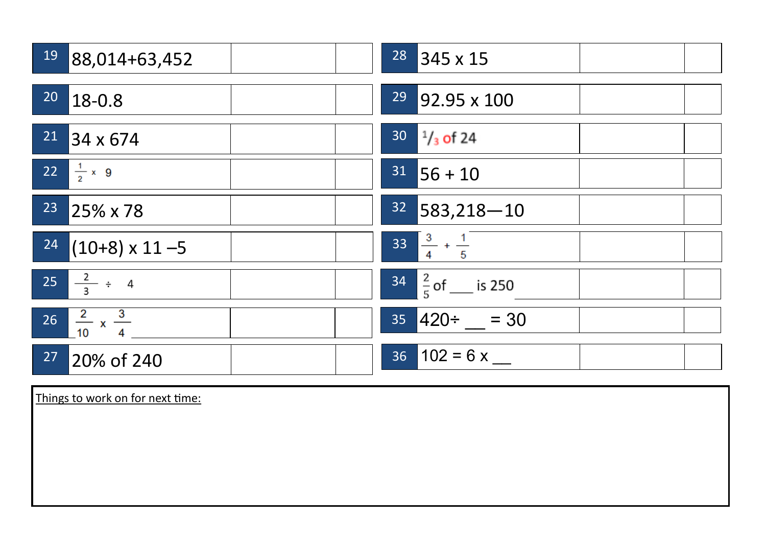|                 | 19 88,014+63,452                     | $28$ 345 x 15                 |
|-----------------|--------------------------------------|-------------------------------|
| 20 <sub>o</sub> | $18 - 0.8$                           | <sup>29</sup> 92.95 x 100     |
|                 | $21$ 34 x 674                        | $30^{1/3}$ of 24              |
|                 | 22 $\frac{1}{2} \times 9$            | $31$ 56 + 10                  |
| 23              | 25% x 78                             | $32$ 583,218 - 10             |
|                 | $\boxed{24}$ (10+8) x 11 -5          | $33\frac{3}{4} + \frac{1}{5}$ |
|                 | $25 \frac{2}{3} \div 4$              | $34\frac{2}{5}$ of ___ is 250 |
|                 | $26 \frac{2}{10} \times \frac{3}{4}$ | $35 \, 420 \div \, 30$        |
| 27              | 20% of 240                           | $36 \mid 102 = 6x$            |

Things to work on for next time: